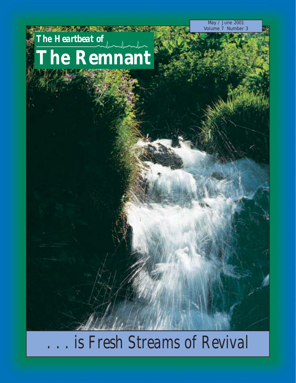May / June 2001 Volume 7 Number 3

# *The Heartbeat of* **The Remnant**

化学基础设备 人類 美

*is Fresh Streams of Revival*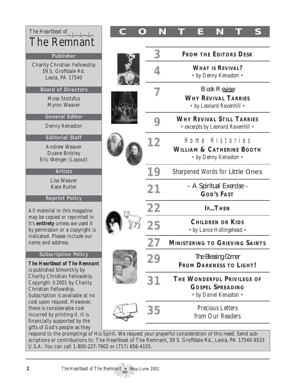| The Heartbeat of<br>The Remnant                                                                                                                                                                                           |    | N                                                            |                                                                                 | Ε | N                                                                               |  |  |  |
|---------------------------------------------------------------------------------------------------------------------------------------------------------------------------------------------------------------------------|----|--------------------------------------------------------------|---------------------------------------------------------------------------------|---|---------------------------------------------------------------------------------|--|--|--|
| Publisher                                                                                                                                                                                                                 |    | З                                                            | <b>FROM THE EDITORS DESK</b>                                                    |   |                                                                                 |  |  |  |
| <b>Charity Christian Fellowship</b><br>59 S. Groffdale Rd.<br>Leola, PA 17540                                                                                                                                             |    |                                                              | <b>WHAT IS REVIVAL?</b><br>• by Denny Kenaston •                                |   |                                                                                 |  |  |  |
| <b>Board of Directors</b><br><b>Mose Stoltzfus</b><br><b>Myron Weaver</b>                                                                                                                                                 |    |                                                              | <b>Book Review</b><br><b>WHY REVIVAL TARRIES</b><br>• by Leonard Ravenhill •    |   |                                                                                 |  |  |  |
| <b>General Editor</b><br>Denny Kenaston                                                                                                                                                                                   |    |                                                              | <b>WHY REVIVAL STILL TARRIES</b><br>• excerpts by Leonard Ravenhill •           |   |                                                                                 |  |  |  |
| <b>Editorial Staff</b><br><b>Andrew Weaver</b><br><b>Duane Binkley</b><br>Eric Wenger (Layout)                                                                                                                            |    | 12                                                           |                                                                                 |   | Home Histories<br><b>WILLIAM &amp; CATHERINE BOOTH</b><br>• by Denny Kenaston • |  |  |  |
| <b>Artists</b>                                                                                                                                                                                                            |    | 19                                                           |                                                                                 |   | <b>Sharpened Words for Little Ones</b>                                          |  |  |  |
| Lisa Weaver<br><b>Kate Rutler</b>                                                                                                                                                                                         |    | 21                                                           |                                                                                 |   | - A Spiritual Exercise -<br><b>GOD'S FAST</b>                                   |  |  |  |
| <b>Reprint Policy</b><br>All material in this magazine                                                                                                                                                                    |    | 22                                                           |                                                                                 |   | <b>IFTHEN</b>                                                                   |  |  |  |
| may be copied or reprinted in<br>it's entirety unless we used it<br>by permission or a copyright is                                                                                                                       |    |                                                              | <b>CHILDREN OR KIDS</b><br>• by Lance Hollingshead •                            |   |                                                                                 |  |  |  |
| indicated. Please include our<br>name and address.                                                                                                                                                                        |    |                                                              | <b>MINISTERING TO GRIEVING SAINTS</b>                                           |   |                                                                                 |  |  |  |
| <b>Subscription Policy</b><br><b>The Heartbeat of The Remnant</b><br>is published bimonthly by<br>Charity Christian Fellowship.<br>Copyright ©2001 by Charity<br>Christian Fellowship.<br>Subscription is available at no | 29 | <b>The Blessing Corner</b><br><b>FROM DARKNESS TO LIGHT!</b> |                                                                                 |   |                                                                                 |  |  |  |
|                                                                                                                                                                                                                           |    | $\mathbf{3}^{\cdot}$                                         | THE WONDERFUL PRIVILEGE OF<br><b>GOSPEL SPREADING</b><br>• by Daniel Kenaston • |   |                                                                                 |  |  |  |
| cost upon request. However,<br>there is considerable cost<br>incurred by printing it. It is<br>financially supported by the                                                                                               |    | 35                                                           | <b>Precious Letters</b><br>from Our Readers                                     |   |                                                                                 |  |  |  |
| gifts of God's people as they                                                                                                                                                                                             |    |                                                              |                                                                                 |   |                                                                                 |  |  |  |

respond to the promptings of His Spirit. We request your prayerful consideration of this need. Send subscriptions or contributions to: The Heartbeat of The Remnant, 59 S. Groffdale Rd., Leola, PA 17540-9533 U.S.A. You can call 1-800-227-7902 or (717) 656-4155.

pe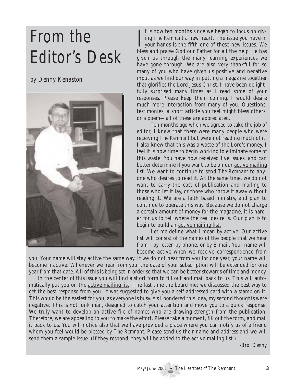# From the Editor's Desk

*by Denny Kenaston*



If the first own ten months since we began to focus on giving *The Remnant* a new heart. The issue you have in your hands is the fifth one of these new issues. We have and precise God sup Father for all the halp He has t is now ten months since we began to focus on giving *The Remnant* a new heart. The issue you have in bless and praise God our Father for all the help He has given us through the many learning experiences we have gone through. We are also very thankful for so many of you who have given us positive and negative input as we find our way in putting a magazine together that glorifies the Lord Jesus Christ. I have been delightfully surprised many times as I read some of your responses. Please keep them coming. I would desire much more interaction from many of you. Questions, testimonies, a short article you feel might bless others, or a poem—all of these are appreciated.

Ten months ago when we agreed to take the job of editor, I knew that there were many people who were receiving *The Remnant* but were not reading much of it. I also knew that this was a waste of the Lord's money. I feel it is now time to begin working to eliminate some of this waste. You have now received five issues, and can better determine if you want to be on our active mailing list. We want to continue to send *The Remnant* to anyone who desires to read it. At the same time, we do not want to carry the cost of publication and mailing to those who let it lay, or those who throw it away without reading it. We are a faith based ministry, and plan to continue to operate this way. Because we do not charge a certain amount of money for the magazine, it is harder for us to tell where the real desire is. Our plan is to begin to build an **active mailing list.** 

Let me define what I mean by active. Our active list will consist of the names of the people that we hear from—by letter, by phone, or by E-mail. Your name will become active when we receive correspondence from

you. Your name will stay active the same way. If we do not hear from you for one year, your name will become inactive. Whenever we hear from you, the date of your subscription will be extended for one year from that date. All of this is being set in order so that we can be better stewards of time and money.

In the center of this issue you will find a short form to fill out and mail back to us. This will automatically put you on the active mailing list. The last time the board met we discussed the best way to get the best response from you. It was suggested to give you a self-addressed card with a stamp on it. This would be the easiest for you, as everyone is busy. As I pondered this idea, my second thoughts were negative. This is not junk mail, designed to catch your attention and move you to a quick response. We truly want to develop an active file of names who are drawing strength from the publication. Therefore, we are appealing to you to make the effort. Please take a moment, fill out the form, and mail it back to us. You will notice also that we have provided a place where you can notify us of a friend whom you feel would be blessed by *The Remnant*. Please send us their name and address and we will send them a sample issue. (If they respond, they will be added to the active mailing list.)

*-Bro. Denny*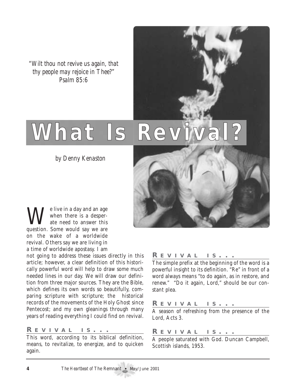*"Wilt thou not revive us again, that thy people may rejoice in Thee?" Psalm 85:6*

# What Is Reviva

*by Denny Kenaston*



We live in a day and an age<br>ate need to answer this<br>suscript Some would sex we are when there is a desperate need to answer this question. Some would say we are on the wake of a worldwide revival. Others say we are living in a time of worldwide apostasy. I am

not going to address these issues directly in this article; however, a clear definition of this historically powerful word will help to draw some much needed lines in our day. We will draw our definition from three major sources. They are the Bible, which defines its own words so beautifully, comparing scripture with scripture; the historical records of the movements of the Holy Ghost since Pentecost; and my own gleanings through many years of reading everything I could find on revival.

#### *R EVIVAL IS ...*

This word, according to its biblical definition, means, to revitalize, to energize, and to quicken again.

#### *R EVIVAL IS ...*

The simple prefix at the beginning of the word is a powerful insight to its definition. "Re" in front of a word always means "to do again, as in restore, and renew." "Do it again, Lord," should be our constant plea.

#### *R EVIVAL IS ...*

A season of refreshing from the presence of the Lord, Acts 3.

### *R EVIVAL IS ...*

A people saturated with God. Duncan Campbell, Scottish islands, 1953.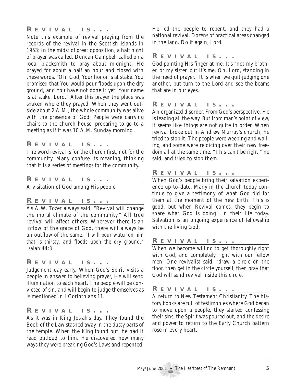### *R EVIVAL IS ...*

Note this example of revival praying from the records of the revival in the Scottish islands in 1953: In the midst of great opposition, a half night of prayer was called. Duncan Campbell called on a local blacksmith to pray about midnight. He prayed for about a half an hour and closed with these words. "Oh, God, Your honor is at stake. You promised that You would pour floods upon the dry ground, and You have not done it yet. Your name is at stake, Lord." After this prayer the place was shaken where they prayed. When they went outside about 2 A.M., the whole community was alive with the presence of God. People were carrying chairs to the church house, preparing to go to a meeting as if it was 10 A.M. Sunday morning.

### *R EVIVAL IS ...*

The word revival is for the church first, not for the community. Many confuse its meaning, thinking that it is a series of meetings for the community.

#### *R EVIVAL IS ...*

A visitation of God among His people.

#### *R EVIVAL IS ...*

As A.W. Tozer always said, "Revival will change the moral climate of the community." All true revival will affect others. Wherever there is an inflow of the grace of God, there will always be an outflow of the same. *"I will pour water on him that is thirsty, and floods upon the dry ground." Isaiah 44:3*

#### *R EVIVAL IS ...*

Judgement day early. When God's Spirit visits a people in answer to believing prayer, He will send illumination to each heart. The people will be convicted of sin, and will begin to judge themselves as is mentioned in I Corinthians 11.

#### *R EVIVAL IS ...*

As it was in King Josiah's day. They found the Book of the Law stashed away in the dusty parts of the temple. When the King found out, he had it read outloud to him. He discovered how many ways they were breaking God's Laws and repented.

He led the people to repent, and they had a national revival. Dozens of practical areas changed in the land. Do it again, Lord.

#### *R EVIVAL IS ...*

God pointing His finger at me. It's "not my brother, or my sister, but it's me, Oh, Lord, standing in the need of prayer." It is when we quit judging one another, but turn to the Lord and see the beams that are in our eyes.

#### *R EVIVAL IS ...*

An organized disorder. From God's perspective, He is leading all the way. But from man's point of view, it seems like things are not quite in order. When revival broke out in Andrew Murray's church, he tried to stop it. The people were weeping and wailing, and some were rejoicing over their new freedom all at the same time. "This can't be right," he said, and tried to stop them.

### *R EVIVAL IS ...*

When God's people bring their salvation experience up-to-date. Many in the church today continue to give a testimony of what God did for them at the moment of the new birth. This is good, but when Revival comes, they begin to share what God is doing in their life today. Salvation is an ongoing experience of fellowship with the living God.

#### *R EVIVAL IS ...*

When we become willing to get thoroughly right with God, and completely right with our fellow men. One revivalist said, "draw a circle on the floor, then get in the circle yourself, then pray that God will send revival inside this circle.

### *R EVIVAL IS ...*

A return to New Testament Christianity. The history books are full of testimonies where God began to move upon a people, they started confessing their sins, the Spirit was poured out, and the desire and power to return to the Early Church pattern rose in every heart.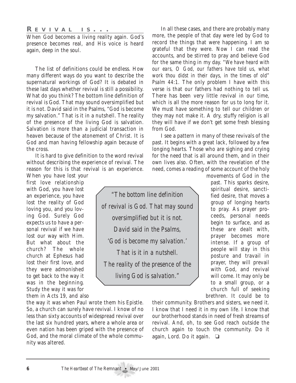#### *R EVIVAL IS ...*

When God becomes a living reality again. God's presence becomes real, and His voice is heard again, deep in the soul.

The list of definitions could be endless. How many different ways do you want to describe the supernatural workings of God? It is debated in these last days whether revival is still a possibility. What do you think? The bottom line definition of revival is God. That may sound oversimplified but it is not. David said in the Psalms, "God is become my salvation." That is it in a nutshell. The reality of the presence of the living God is salvation. Salvation is more than a judicial transaction in heaven because of the atonement of Christ. It is God and man having fellowship again because of the cross.

It is hard to give definition to the word revival without describing the experience of revival. The reason for this is that revival is an experience.

When you have lost your first love relationship with God, you have lost an experience, you have lost the reality of God loving you, and you loving God. Surely God expects us to have a personal revival if we have lost our way with Him. But what about the church? The whole church at Ephesus had lost their first love, and they were admonished to get back to the way it was in the beginning. Study the way it was for them in Acts 19, and also

the way it was when Paul wrote them his Epistle. So, a church can surely have revival. I know of no less than sixty accounts of widespread revival over the last six hundred years, where a whole area or even nation has been griped with the presence of God, and the moral climate of the whole community was altered.

In all these cases, and there are probably many more, the people of that day were led by God to record the things that were happening. I am so grateful that they were. Now I can read the accounts, and be stirred to pray and believe God for the same thing in my day. *"We have heard with our ears, O God, our fathers have told us, what work thou didst in their days, in the times of old" Psalm 44:1.* The only problem I have with this verse is that our fathers had nothing to tell us. There has been very little revival in our time, which is all the more reason for us to long for it. We must have something to tell our children or they may not make it. A dry, stuffy religion is all they will have if we don't get some fresh blessing from God.

I see a pattern in many of these revivals of the past. It begins with a great lack, followed by a few longing hearts. Those who are sighing and crying for the need that is all around them, and in their own lives also. Often, with the revelation of the need, comes a reading of some account of the holy

*"The bottom line definition of revival is God. That may sound oversimplified but it is not. David said in the Psalms, 'God is become my salvation.' That is it in a nutshell. The reality of the presence of the living God is salvation."*

movements of God in the past. This sparks desire, spiritual desire, sanctified desire, that moves a group of longing hearts to pray. As prayer proceeds, personal needs begin to surface, and as these are dealt with, prayer becomes more intense. If a group of people will stay in this posture and travail in prayer, they will prevail with God, and revival will come. It may only be to a small group, or a church full of seeking brethren. It could be to

their community. Brothers and sisters, we need it. I know that I need it in my own life. I know that our brotherhood stands in need of fresh streams of revival. And, oh, to see God reach outside the church again to touch the community. Do it again, Lord. Do it again. ❏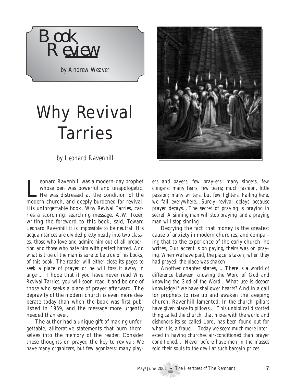

*by Andrew Weaver*

# Why Revival Tarries

*by Leonard Ravenhill*

Leonard Ravenhill was a modern-day prophet whose pen was powerful and unapologetic.<br>He was distressed at the condition of the modern church, and deeply burdened for revival. eonard Ravenhill was a modern-day prophet whose pen was powerful and unapologetic. He was distressed at the condition of the His unforgettable book, *Why Revival Tarries,* carries a scorching, searching message. A.W. Tozer, writing the foreword to this book, said, *Toward Leonard Ravenhill it is impossible to be neutral. His acquaintances are divided pretty neatly into two classes, those who love and admire him out of all proportion and those who hate him with perfect hatred. And what is true of the man is sure to be true of his books, of this book. The reader will either close its pages to seek a place of prayer or he will toss it away in anger…* I hope that if you have never read *Why Revival Tarries*, you will soon read it and be one of those who seeks a place of prayer afterward. The depravity of the modern church is even more desperate today than when the book was first published in 1959, and the message more urgently needed than ever.

The author had a unique gift of making unforgettable, alliterative statements that burn themselves into the memory of the reader. Consider these thoughts on prayer, the key to revival: *We have many organizers, but few agonizers; many play-*



*ers and payers, few pray-ers; many singers, few clingers; many fears, few tears; much fashion, little passion; many writers, but few fighters. Failing here, we fail everywhere…Surely revival delays because prayer decays…The secret of praying is praying in secret. A sinning man will stop praying, and a praying man will stop sinning.*

Decrying the fact that money is the greatest cause of anxiety in modern churches, and comparing that to the experience of the early church, he writes, *Our accent is on paying, theirs was on praying. When we have paid, the place is taken; when they had prayed, the place was shaken!*

Another chapter states, *…There is a world of difference between knowing the Word of God and knowing the God of the Word…What use is deeper knowledge if we have shallower hearts?* And in a call for prophets to rise up and awaken the sleeping church, Ravenhill lamented, *In the church, pillars have given place to pillows… This unbiblical distorted thing called the church, that mixes with the world and dishonors its so-called Lord, has been found out for what it is, a fraud… Today we seem much more interested in having churches air-conditioned than prayer conditioned… Never before have men in the masses sold their souls to the devil at such bargain prices.*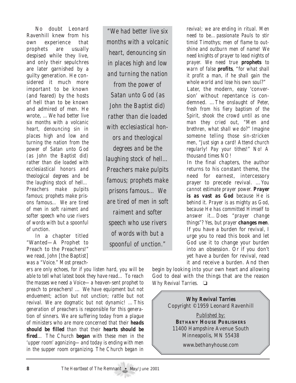No doubt Leonard Ravenhill knew from his own experience that prophets are usually despised while they live, and only their sepulchres are later garnished by a guilty generation. He considered it much more important to be known (and feared) by the hosts of hell than to be known and admired of men. He wrote, *…We had better live six months with a volcanic heart, denouncing sin in places high and low and turning the nation from the power of Satan unto God (as John the Baptist did) rather than die loaded with ecclesiastical honors and theological degrees and be the laughing stock of hell… Preachers make pulpits famous; prophets make prisons famous… We are tired of men in soft raiment and softer speech who use rivers of words with but a spoonful of unction.* 

In a chapter titled "Wanted—A Prophet to Preach to the Preachers!" we read, *John* [the Baptist] *was a "Voice." Most preach-*

*ers are only echoes, for if you listen hard, you will be able to tell what latest book they have read… To reach the masses we need a Voice—a heaven-sent prophet to preach to* preachers! … *We have equipment but not enduement; action but not unction; rattle but not revival. We are dogmatic but not dynamic! …This generation of preachers is responsible for this generation of sinners. We are suffering today from a plague of ministers who are more concerned that their heads should be filled than that their hearts should be fired*… *The Church began with these men in the 'upper room' agonizing—and today is ending with men in the supper room organizing. The Church began in*

*"We had better live six months with a volcanic heart, denouncing sin in places high and low and turning the nation from the power of Satan unto God (as John the Baptist did) rather than die loaded with ecclesiastical honors and theological degrees and be the laughing stock of hell… Preachers make pulpits famous; prophets make prisons famous… We are tired of men in soft raiment and softer speech who use rivers of words with but a spoonful of unction."*

*revival; we are ending in ritual. Men need to be…passionate Pauls to stir timid Timothys; men of flame to outshine and outburn men of name! We need knights of prayer to lead nights of prayer. We need true prophets to warn of false profits, "for what shall it profit a man, if he shall gain the whole world and lose his own soul?"* Later, the modern, easy 'conversion' without repentance is condemned. …*The onslaught of Peter, fresh from his fiery baptism of the Spirit, shook the crowd until as one man they cried out, "Men and brethren, what shall we do?" Imagine someone telling those sin-stricken men, "Just sign a card! Attend church regularly! Pay your tithes!" No! A thousand times NO!*

In the final chapters, the author returns to his constant theme, the need for earnest, intercessory prayer to precede revival. …*You cannot estimate prayer power. Prayer is as vast as God because He is behind it. Prayer is as mighty as God, because He has committed Himself to answer it…Does "prayer change things"? Yes, but prayer changes men*. If you have a burden for revival, I urge you to read this book and let God use it to change your burden into an obsession. Or if you don't yet have a burden for revival, read it and receive a burden. And then

begin by looking into your own heart and allowing God to deal with the things that are the reason *Why Revival Tarries.* ❏

> *Why Revival Tarries* Copyright ©1959 Leonard Ravenhill

*Published by:* **BETHANY HOUSE PUBLISHERS** 11400 Hampshire Avenue South Minneapolis, MN 55438

www.bethanyhouse.com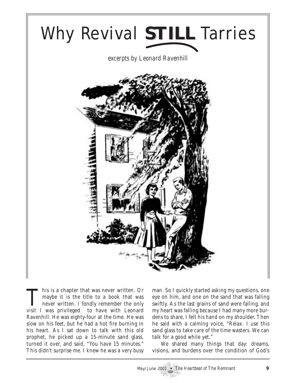

This is a chapter that was never written. Or<br>maybe it is the title to a book that was<br>never written. I fondly remember the only maybe it is the title to a book that was visit I was privileged to have with Leonard Ravenhill. He was eighty-four at the time. He was slow on his feet, but he had a hot fire burning in his heart. As I sat down to talk with this old prophet, he picked up a 15-minute sand glass, turned it over, and said, "You have 15 minutes." This didn't surprise me. I knew he was a very busy

man. So I quickly started asking my questions, one eye on him, and one on the sand that was falling swiftly. As the last grains of sand were falling, and my heart was falling because I had many more burdens to share, I felt his hand on my shoulder. Then he said with a calming voice, "Relax. I use this sand glass to take care of the time wasters. We can talk for a good while yet."

We shared many things that day: dreams, visions, and burdens over the condition of God's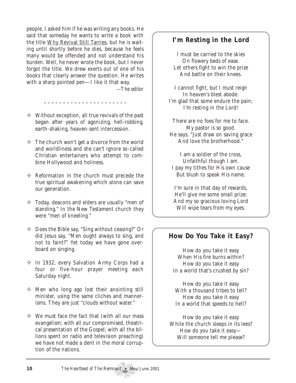people. I asked him if he was writing any books. He said that someday he wants to write a book with the title Why Revival Still Tarries, but he is waiting until shortly before he dies, because he feels many would be offended and not understand his burden. Well, he never wrote the book, but I never forgot the title. We drew exerts out of one of his books that clearly answer the question. He writes with a sharp pointed pen—I like it that way.

--*The editor*

 $\Diamond$  Without exception, all true revivals of the past began after years of agonizing, hell-robbing, earth-shaking, heaven-sent intercession.

.....................

- $\Diamond$  The church won't get a divorce from the world and worldliness and she can't ignore so-called Christian entertainers who attempt to combine Hollywood and holiness.
- $\Diamond$  Reformation in the church must precede the true spiritual awakening which alone can save our generation.
- $\Diamond$  Today, deacons and elders are usually "men of standing." In the New Testament church they were "men of kneeling."
- $\Diamond$  Does the Bible say, "Sing without ceasing?" Or did Jesus say, "Men ought always to sing, and not to faint?" Yet today we have gone overboard on singing.
- $\div$  In 1932, every Salvation Army Corps had a four or five-hour prayer meeting each Saturday night.
- $\Diamond$  Men who long ago lost their anointing still minister, using the same cliches and mannerisms. They are just "clouds without water."
- $\Diamond$  We must face the fact that (with all our mass evangelism; with all our compromised, theatrical presentation of the Gospel; with all the billions spent on radio and television preaching) we have not made a dent in the moral corruption of the nations.

## **I'm Resting in the Lord**

I must be carried to the skies On flowery beds of ease. Let others fight to win the prize And battle on their knees.

I cannot fight, but I must reign In heaven's blest abode. I'm glad that some endure the pain; I'm resting in the Lord!

There are no foes for me to face. My pastor is so good. He says, "Just draw on saving grace And love the brotherhood."

I am a soldier of the cross, Unfaithful though I am. I pay my tithes for His own cause But blush to speak His name.

I'm sure in that day of rewards, He'll give me some small prize; And my so gracious loving Lord Will wipe tears from my eyes.

## **How Do You Take it Easy?**

How do you take it easy When His fire burns within? How do you take it easy In a world that's crushed by sin?

How do you take it easy With a thousand tribes to tell? How do you take it easy In a world that speeds to hell?

How do you take it easy While the church sleeps in its lees? How do you take it easy— Will someone tell me please?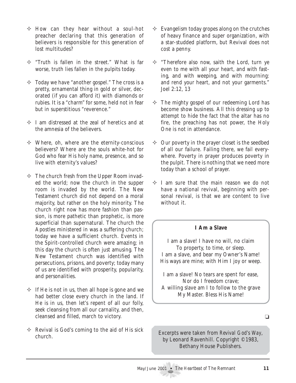- $\Diamond$  How can they hear without a soul-hot preacher declaring that this generation of believers is responsible for this generation of lost multitudes?
- $\div$  "Truth is fallen in the street." What is far worse, truth lies fallen in the pulpits today.
- $\Diamond$  Today we have "another gospel." The cross is a pretty, ornamental thing in gold or silver, decorated (if you can afford it) with diamonds or rubies. It is a "charm" for some, held not in fear but in superstitious "reverence."
- $\Diamond$  I am distressed at the zeal of heretics and at the amnesia of the believers.
- $\Diamond$  Where, oh, where are the eternity-conscious believers? Where are the souls white-hot for God who fear His holy name, presence, and so live with eternity's values?
- $\Diamond$  The church fresh from the Upper Room invaded the world; now the church in the supper room is invaded by the world. The New Testament church did not depend on a moral majority, but rather on the holy minority. The church right now has more fashion than passion, is more pathetic than prophetic, is more superficial than supernatural. The church the Apostles ministered in was a suffering church; today we have a sufficient church. Events in the Spirit-controlled church were amazing; in this day the church is often just amusing. The New Testament church was identified with persecutions, prisons, and poverty; today many of us are identified with prosperity, popularity, and personalities.
- $\Diamond$  If He is not in us, then all hope is gone and we had better close every church in the land. If He is in us, then let's repent of all our folly, seek cleansing from all our carnality, and then, cleansed and filled, march to victory.
- $\Diamond$  Revival is God's coming to the aid of His sick church.
- $\Diamond$  Evangelism today gropes along on the crutches of heavy finance and super organization, with a star-studded platform, but Revival does not cost a penny.
- $\Diamond$  "Therefore also now, saith the Lord, turn ye even to me with all your heart, and with fasting, and with weeping, and with mourning: and rend your heart, and not your garments." Joel 2:12, 13
- $\Diamond$  The mighty gospel of our redeeming Lord has become show business. All this dressing up to attempt to hide the fact that the altar has no fire, the preaching has not power, the Holy One is not in attendance.
- $\Diamond$  Our poverty in the prayer closet is the seedbed of all our failure. Failing there, we fail everywhere. Poverty in prayer produces poverty in the pulpit. There is nothing that we need more today than a school of prayer.
- $\Diamond$  I am sure that the main reason we do not have a national revival, beginning with personal revival, is that we are content to live without it.

#### **I Am a Slave**

I am a slave! I have no will, no claim To property, to time, or sleep. I am a slave, and bear my Owner's Name! His ways are mine; with Him I joy or weep.

I am a slave! No tears are spent for ease, Nor do I freedom crave; A willing slave am I to follow to the grave My Master. Bless His Name!

 $\Box$ 

Excerpts were taken from *Revival God's Way*, by Leonard Ravenhill. Copyright ©1983, Bethany House Publishers.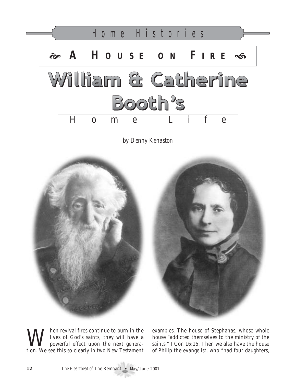

*by Denny Kenaston*



When revival fires continue to burn in the<br>powerful effect upon the next genera-<br>tion We see this se clearly in two New Testement lives of God's saints, they will have a powerful effect upon the next generation. We see this so clearly in two New Testament

examples. The house of Stephanas, whose whole house "addicted themselves to the ministry of the saints," I Cor. 16:15. Then we also have the house of Philip the evangelist, who "had four daughters,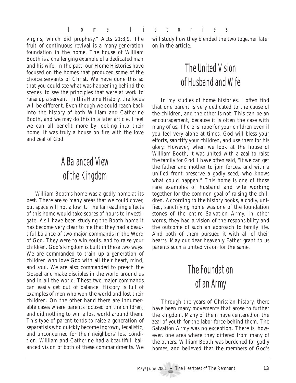Home Histories

virgins, which did prophesy," Acts 21:8,9. The fruit of continuous revival is a many-generation foundation in the home. The house of William Booth is a challenging example of a dedicated man and his wife. In the past, our Home Histories have focused on the homes that produced some of the choice servants of Christ. We have done this so that you could see what was happening behind the scenes, to see the principles that were at work to raise up a servant. In this Home History, the focus will be different. Even though we could reach back into the history of both William and Catherine Booth, and we may do this in a later article, I feel we can all benefit more by looking into their home. It was truly a house on fire with the love and zeal of God.

# A Balanced View of the Kingdom

William Booth's home was a godly home at its best. There are so many areas that we could cover, but space will not allow it. The far reaching effects of this home would take scores of hours to investigate. As I have been studying the Booth home it has become very clear to me that they had a beautiful balance of two major commands in the Word of God. They were to win souls, and to raise your children. God's kingdom is built in these two ways. We are commanded to train up a generation of children who love God with all their heart, mind, and soul. We are also commanded to preach the Gospel and make disciples in the world around us and in all the world. These two major commands can easily get out of balance. History is full of examples of men who won the world and lost their children. On the other hand there are innumerable cases where parents focused on the children, and did nothing to win a lost world around them. This type of parent tends to raise a generation of separatists who quickly become ingrown, legalistic, and unconcerned for their neighbors' lost condition. William and Catherine had a beautiful, balanced vision of both of these commandments. We will study how they blended the two together later on in the article.

# The United Vision of Husband and Wife

In my studies of home histories, I often find that one parent is very dedicated to the cause of the children, and the other is not. This can be an encouragement, because it is often the case with many of us. There is hope for your children even if you feel very alone at times. God will bless your efforts, sanctify your children, and use them for his glory. However, when we look at the house of William Booth, it was united with a zeal to raise the family for God. I have often said, "If we can get the father and mother to join forces, and with a unified front preserve a godly seed, who knows what could happen." This home is one of those rare examples of husband and wife working together for the common goal of raising the children. According to the history books, a godly, unified, sanctifying home was one of the foundation stones of the entire Salvation Army. In other words, they had a vision of the responsibility and the outcome of such an approach to family life. And both of them pursued it with all of their hearts. May our dear heavenly Father grant to us parents such a united vision for the same.

# The Foundation of an Army

Through the years of Christian history, there have been many movements that arose to further the kingdom. Many of them have centered on the zeal of youth for the labor force behind them. The Salvation Army was no exception. There is, however, one area where they differed from many of the others. William Booth was burdened for godly homes, and believed that the members of God's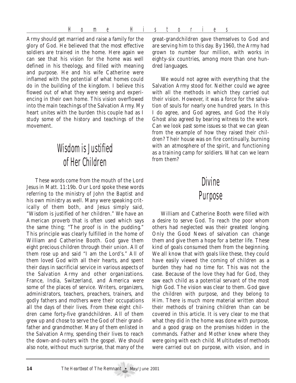Home Histories

Army should get married and raise a family for the glory of God. He believed that the most effective soldiers are trained in the home. Here again we can see that his vision for the home was well defined in his theology, and filled with meaning and purpose. He and his wife Catherine were inflamed with the potential of what homes could do in the building of the kingdom. I believe this flowed out of what they were seeing and experiencing in their own home. This vision overflowed into the main teachings of the Salvation Army. My heart unites with the burden this couple had as I study some of the history and teachings of the movement.

# Wisdomis Justified of Her Children

These words come from the mouth of the Lord Jesus in Matt. 11:19b. Our Lord spoke these words referring to the ministry of John the Baptist and his own ministry as well. Many were speaking critically of them both, and Jesus simply said, "Wisdom is justified of her children." We have an American proverb that is often used which says the same thing; "The proof is in the pudding." This principle was clearly fulfilled in the home of William and Catherine Booth. God gave them eight precious children through their union. All of them rose up and said "I am the Lord's." All of them loved God with all their hearts, and spent their days in sacrificial service in various aspects of the Salvation Army and other organizations. France, India, Switzerland, and America were some of the places of service. Writers, organizers, administrators, teachers, preachers, trainers, and godly fathers and mothers were their occupations all the days of their lives. From these eight children came forty-five grandchildren. All of them grew up and chose to serve the God of their grandfather and grandmother. Many of them enlisted in the Salvation Army, spending their lives to reach the down-and-outers with the gospel. We should also note, without much surprise, that many of the

great-grandchildren gave themselves to God and are serving him to this day. By 1960, the Army had grown to number four million, with works in eighty-six countries, among more than one hundred languages.

We would not agree with everything that the Salvation Army stood for. Neither could we agree with all the methods in which they carried out their vision. However, it was a force for the salvation of souls for nearly one hundred years. In this I do agree, and God agrees, and God the Holy Ghost also agreed by bearing witness to the work. Can we look past some issues so that we can glean from the example of how they raised their children? Their house was on fire continually, burning with an atmosphere of the spirit, and functioning as a training camp for soldiers. What can we learn from them?

## **Divine**

## Purpose

William and Catherine Booth were filled with a desire to serve God. To reach the poor whom others had neglected was their greatest longing. Only the Good News of salvation can change them and give them a hope for a better life. These kind of goals consumed them from the beginning. We all know that with goals like these, they could have easily viewed the coming of children as a burden they had no time for. This was not the case. Because of the love they had for God, they saw each child as a potential servant of the most high God. The vision was clear to them. God gave the children with purpose, and they belong to Him. There is much more material written about their methods of training children than can be covered in this article. It is very clear to me that what they did in the home was done with purpose, and a good grasp on the promises hidden in the commands. Father and Mother knew where they were going with each child. Multitudes of methods were carried out on purpose, with vision, and in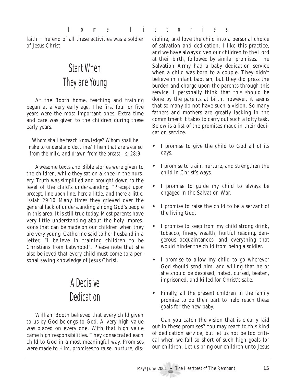faith. The end of all these activities was a soldier of Jesus Christ.

# Start When They are Young

At the Booth home, teaching and training began at a very early age. The first four or five years were the most important ones. Extra time and care was given to the children during these early years.

*Whom shall he teach knowledge? Whom shall he make to understand doctrine? Them that are weaned from the milk, and drawn from the breast. Is. 28:9*

Awesome texts and Bible stories were given to the children, while they sat on a knee in the nursery. Truth was simplified and brought down to the level of the child's understanding. "*Precept upon precept, line upon line, here a little, and there a little. Isaiah 29:10* Many times they grieved over the general lack of understanding among God's people in this area. It is still true today. Most parents have very little understanding about the holy impressions that can be made on our children when they are very young. Catherine said to her husband in a letter, "I believe in training children to be Christians from babyhood". Please note that she also believed that every child must come to a personal saving knowledge of Jesus Christ.

# A Decisive **Dedication**

William Booth believed that every child given to us by God belongs to God. A very high value was placed on every one. With that high value came high responsibilities. They consecrated each child to God in a most meaningful way. Promises were made to Him, promises to raise, nurture, discipline, and love the child into a personal choice of salvation and dedication. I like this practice, and we have always given our children to the Lord at their birth, followed by similar promises. The Salvation Army had a baby dedication service when a child was born to a couple. They didn't believe in infant baptism, but they did press the burden and charge upon the parents through this service. I personally think that this should be done by the parents at birth, however, it seems that so many do not have such a vision. So many fathers and mothers are greatly lacking in the commitment it takes to carry out such a lofty task. Below is a list of the promises made in their dedication service.

- ! I promise to give the child to God all of its days.
- ! I promise to train, nurture, and strengthen the child in Christ's ways.
- ! I promise to guide my child to always be engaged in the Salvation War.
- ! I promise to raise the child to be a servant of the living God.
- ! I promise to keep from my child strong drink, tobacco, finery, wealth, hurtful reading, dangerous acquaintances, and everything that would hinder the child from being a soldier.
- ! I promise to allow my child to go wherever God should send him, and willing that he or she should be despised, hated, cursed, beaten, imprisoned, and killed for Christ's sake.
- Finally, all the present children in the family promise to do their part to help reach these goals for the new baby.

Can you catch the vision that is clearly laid out in these promises? You may react to this kind of dedication service, but let us not be too critical when we fall so short of such high goals for our children. Let us bring our children unto Jesus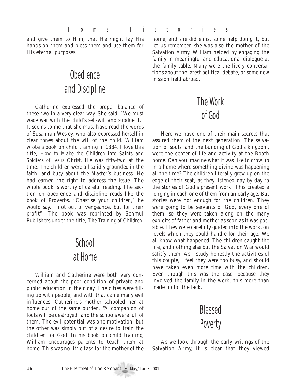Home Histories

and give them to Him, that He might lay His hands on them and bless them and use them for His eternal purposes.

# **Obedience** and Discipline

Catherine expressed the proper balance of these two in a very clear way. She said, "We must wage war with the child's self-will and subdue it." It seems to me that she must have read the words of Susannah Wesley, who also expressed herself in clear tones about the will of the child. William wrote a book on child training in 1884. I love this title, *How to Make the Children into Saints and Soldiers of Jesus Christ.* He was fifty-two at the time. The children were all solidly grounded in the faith, and busy about the Master's business. He had earned the right to address the issue. The whole book is worthy of careful reading. The section on obedience and discipline reads like the book of Proverbs. "Chastise your children," he would say, " not out of vengeance, but for their profit". The book was reprinted by Schmul Publishers under the title, *The Training of Children.*

## **School** at Home

William and Catherine were both very concerned about the poor condition of private and public education in their day. The cities were filling up with people, and with that came many evil influences. Catherine's mother schooled her at home out of the same burden. "A companion of fools will be destroyed" and the schools were full of them. The evil potential was one motivation, but the other was simply out of a desire to train the children for God. In his book on child training, William encourages parents to teach them at home. This was no little task for the mother of the

home, and she did enlist some help doing it, but let us remember, she was also the mother of the Salvation Army. William helped by engaging the family in meaningful and educational dialogue at the family table. Many were the lively conversations about the latest political debate, or some new mission field abroad.

# The Work of God

Here we have one of their main secrets that assured them of the next generation. The salvation of souls, and the building of God's kingdom, were the center of life and activity at the Booth home. Can you imagine what it was like to grow up in a home where something divine was happening all the time? The children literally grew up on the edge of their seat, as they listened day by day to the stories of God's present work. This created a longing in each one of them from an early age. But stories were not enough for the children. They were going to be servants of God, every one of them, so they were taken along on the many exploits of father and mother as soon as it was possible. They were carefully guided into the work, on levels which they could handle for their age. We all know what happened. The children caught the fire, and nothing else but the Salvation War would satisfy them. As I study honestly the activities of this couple, I feel they were too busy, and should have taken even more time with the children. Even though this was the case, because they involved the family in the work, this more than made up for the lack.



As we look through the early writings of the Salvation Army, it is clear that they viewed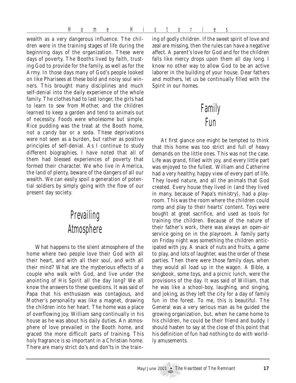Home Histories

wealth as a very dangerous influence. The children were in the training stages of life during the beginning days of the organization. These were days of poverty. The Booths lived by faith, trusting God to provide for the family, as well as for the Army. In those days many of God's people looked on like Pharisees at these bold and noisy soul winners. This brought many disciplines and much self-denial into the daily experience of the whole family. The clothes had to last longer, the girls had to learn to sew from Mother, and the children learned to keep a garden and tend to animals out of necessity. Foods were wholesome but simple. Rice pudding was the treat at the Booth home, not a candy bar or a soda. These deprivations were not seen as a burden, but rather as positive principles of self-denial. As I continue to study different biographies, I have noted that all of them had blessed experiences of poverty that formed their character. We who live in America, the land of plenty, beware of the dangers of all our wealth. We can easily spoil a generation of potential soldiers by simply going with the flow of our present day society.

## **Prevailing Atmsphere**

What happens to the silent atmosphere of the home where two people love their God with all their heart, and with all their soul, and with all their mind? What are the mysterious effects of a couple who walk with God, and live under the anointing of His Spirit all the day long? We all know the answers to these questions. It was said of Papa that his enthusiasm was contagious, and Mother's personality was like a magnet, drawing the children into her heart. The home was a place of overflowing joy. William sang continually in his house as he was about his daily duties. An atmosphere of love prevailed in the Booth home, and graced the more difficult parts of training. This holy fragrance is so important in a Christian home. There are many strict do's and don'ts in the training of godly children. If the sweet spirit of love and zeal are missing, then the rules can have a negative affect. A parent's love for God and for the children falls like mercy drops upon them all day long. I know no other way to allow God to be an active laborer in the building of your house. Dear fathers and mothers, let us be continually filled with the Spirit in our homes.

## Family **Fum**

At first glance one might be tempted to think that this home was too strict and full of heavy demands on the little ones. This was not the case. Life was grand, filled with joy, and every little part was enjoyed to the fullest. William and Catherine had a very healthy, happy view of every part of life. They loved nature, and all the animals that God created. Every house they lived in (and they lived in many, because of Papa's ministry), had a playroom. This was the room where the children could romp and play to their hearts' content. Toys were bought at great sacrifice, and used as tools for training the children. Because of the nature of their father's work, there was always an open-air service going on in the playroom. A family party on Friday night was something the children anticipated with joy. A snack of nuts and fruits, a game to play, and lots of laughter, was the order of these parties. Then there were those family days, when they would all load up in the wagon. A Bible, a songbook, some toys, and a picnic lunch, were the provisions of the day. It was said of William, that he was like a school-boy, laughing, and singing, and joking, as they left the city for a day of family fun in the forest. To me, this is beautiful. The General was a very serious man as he guided the growing organization, but, when he came home to his children, he could be their friend and buddy. I should hasten to say at the close of this point that his definition of fun had nothing to do with worldly amusements.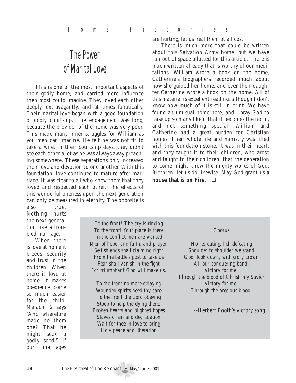# The Power of Marital Love

This is one of the most important aspects of their godly home, and carried more influence then most could imagine. They loved each other deeply, extravagantly, and at times fanatically. Their marital love began with a good foundation of godly courtship. The engagement was long, because the provider of the home was very poor. This made many inner struggles for William as you men can imagine. He felt he was not fit to take a wife. In their courtship days, they didn't see each other a lot as he was always away preaching somewhere. These separations only increased their love and devotion to one another. With this foundation, love continued to mature after marriage. It was clear to all who knew them that they loved and respected each other. The effects of this wonderful oneness upon the next generation can only be measured in eternity. The opposite is

are hurting, let us heal them at all cost.

There is much more that could be written about this Salvation Army home, but we have run out of space allotted for this article. There is much written already that is worthy of our meditations. William wrote a book on the home, Catherine's biographers recorded much about how she guided her home, and ever their daughter Catherine wrote a book on the home. All of this material is excellent reading, although I don't know how much of it is still in print. We have found an unusual home here, and I pray God to raise up so many like it that it becomes the norm, and not something special. William and Catherine had a great burden for Christian homes. Their whole life and ministry was filled with this foundation stone. It was in their heart, and they taught it to their children, who arose and taught to their children, that the generation to come might know the mighty works of God. Brethren, let us do likewise. May God grant us **a house that is on Fire.** ❏

also true. Nothing hurts the next generation like a troubled marriage.

When there is love at home it breeds security and trust in the children. When there is love at home, it makes obedience come so much easier for the child. Malachi 2 says "And wherefore made he them one? That he might seek a godly seed." If our marriages

*To the front! The cry is ringing To the front! Your place is there In the conflict men are wanted Men of hope, and faith, and prayer. Selfish ends shall claim no right From the battle's post to take us Fear shall vanish in the fight For triumphant God will make us.*

*To the front no more delaying Wounded spirits need thy care To the front the Lord obeying Stoop to help the dying there. Broken hearts and blighted hopes Slaves of sin and degradation Wait for thee in love to bring Holy peace and liberation*

#### *Chorus*

*No retreating, hell defeating Shoulder to shoulder we stand God, look down, with glory crown All our conquering band. Victory for me! Through the blood of Christ, my Savior Victory for me! Through the precious blood.*

--Herbert Booth's victory song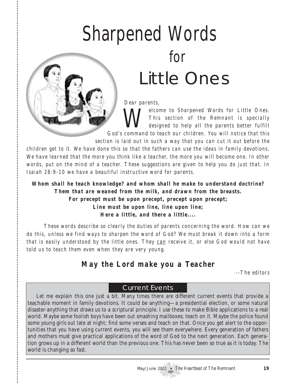# Sharpened Words for Little Ones

*Dear parents,*

*Welcome to Sharpened Words for Little Ones.*<br>This section of the Remnant is specially designed to help all the parents better fulfill *This section of the Remnant is specially designed to help all the parents better fulfill God's command to teach our children. You will notice that this*

*section is laid out in such a way that you can cut it out before the*

*children get to it. We have done this so that the fathers can use the ideas in family devotions. We have learned that the more you think like a teacher, the more you will become one. In other words, put on the mind of a teacher. These suggestions are given to help you do just that. In Isaiah 28:9-10 we have a beautiful instructive word for parents.*

*Whom shall he teach knowledge? and whom shall he make to understand doctrine? Them that are weaned from the milk, and drawn from the breasts. For precept must be upon precept, precept upon precept; Line must be upon line, line upon line; Here a little, and there a little....*

*These words describe so clearly the duties of parents concerning the word. How can we do this, unless we find ways to sharpen the word of God? We must break it down into a form that is easily understood by the little ones. They can receive it, or else God would not have told us to teach them even when they are very young.*

## *May the Lord make you a Teacher*

*--The editors*

## Current Events

Let me explain this one just a bit. Many times there are different current events that provide a teachable moment in family devotions. It could be anything—a presidential election, or some natural disaster-anything that draws us to a scriptural principle. I use these to make Bible applications to a real world. Maybe some foolish boys have been out smashing mailboxes; teach on it. Maybe the police found some young girls out late at night; find some verses and teach on that. Once you get alert to the opportunities that you have using current events, you will see them everywhere. Every generation of fathers and mothers must give practical applications of the word of God to the next generation. Each generation grows up in a different world than the previous one. This has never been so true as it is today. The world is changing so fast.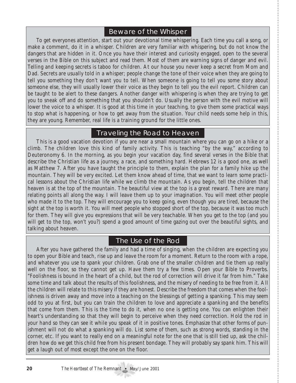### Beware of the Whisper

To get everyones attention, start out your devotional time whispering. Each time you call a song, or make a comment, do it in a whisper. Children are very familiar with whispering, but do not know the dangers that are hidden in it. Once you have their interest and curiosity engaged, open to the several verses in the Bible on this subject and read them. Most of them are warning signs of danger and evil. Telling and keeping secrets is taboo for children. At our house you never keep a secret from Mom and Dad. Secrets are usually told in a whisper; people change the tone of their voice when they are going to tell you something they don't want you to tell. When someone is going to tell you some story about someone else, they will usually lower their voice as they begin to tell you the evil report. Children can be taught to be alert to these dangers. Another danger with whispering is when they are trying to get you to sneak off and do something that you shouldn't do. Usually the person with the evil motive will lower the voice to a whisper. It is good at this time in your teaching, to give them some practical ways to stop what is happening, or how to get away from the situation. Your child needs some help in this, they are young. Remember, real life is a training ground for the little ones.

### Traveling the Road to Heaven

This is a good vacation devotion if you are near a small mountain where you can go on a hike or a climb. The children love this kind of family activity. This is teaching "by the way," according to Deuteronomy 6. In the morning, as you begin your vacation day, find several verses in the Bible that describe the Christian life as a journey, a race, and something hard. Hebrews 12 is a good one, as well as Matthew 7. After you have taught the principle to them, explain the plan for a family hike up the mountain. They will be very excited. Let them know ahead of time, that we want to learn some practical lessons about the Christian life while we climb the mountain. As you begin, tell the children that heaven is at the top of the mountain. The beautiful view at the top is a great reward. There are many relating points all along the way. I will leave them up to your imagination. You will meet other people who made it to the top. They will encourage you to keep going, even though you are tired, because the sight at the top is worth it. You will meet people who stopped short of the top, because it was too much for them. They will give you expressions that will be very teachable. When you get to the top (and you will get to the top, won't you?) spend a good amount of time gazing out over the beautiful sights, and talking about heaven.

### The Use of the Rod

After you have gathered the family and had a time of singing, when the children are expecting you to open your Bible and teach, rise up and leave the room for a moment. Return to the room with a rope, and whatever you use to spank your children. Grab one of the smaller children and tie them up really well on the floor, so they cannot get up. Have them try a few times. Open your Bible to Proverbs. "Foolishness is bound in the heart of a child, but the rod of correction will drive it far from him." Take some time and talk about the results of this foolishness, and the misery of needing to be free from it. All the children will relate to this misery if they are honest. Describe the freedom that comes when the foolishness is driven away and move into a teaching on the blessings of getting a spanking. This may seem odd to you at first, but you can train the children to love and appreciate a spanking and the benefits that come from them. This is the time to do it, when no one is getting one. You can enlighten their heart's understanding so that they will begin to perceive when they need correction. Hold the rod in your hand so they can see it while you speak of it in positive tones. Emphasize that other forms of punishment will not do what a spanking will do. List some of them, such as strong words, standing in the corner, etc. If you want to really end on a meaningful note for the one that is still tied up, ask the children how do we get this child free from his present bondage. They will probably say spank him. This will get a laugh out of most except the one on the floor.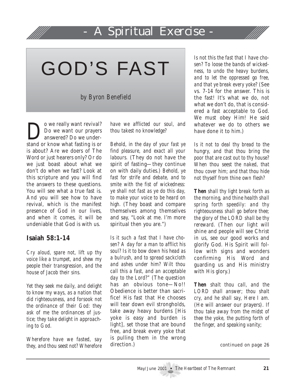# A Spiritual Exercise

GOD'S FAST

*by Byron Benefield*

Do we really want revival?<br>Do we want our prayers<br>answered? Do we under-Do we want our prayers answered? Do we understand or know what fasting is or is about? Are we doers of The Word or just hearers only? Or do we just boast about what we don't do when we fast? Look at this scripture and you will find the answers to these questions. You will see what a true fast is. And you will see how to have revival, which is the manifest presence of God in our lives, and when it comes, it will be undeniable that God is with us.

### **Isaiah 58:1-14**

*Cry aloud, spare not, lift up thy voice like a trumpet, and shew my people their transgression, and the house of Jacob their sins.*

*Yet they seek me daily, and delight to know my ways, as a nation that did righteousness, and forsook not the ordinance of their God: they ask of me the ordinances of justice; they take delight in approaching to God.*

*Wherefore have we fasted, say they, and thou seest not? Wherefore*

*have we afflicted our soul, and thou takest no knowledge?*

*Behold, in the day of your fast ye find pleasure, and exact all your labours.* (They do not have the spirit of fasting—they continue on with daily duties.) *Behold, ye fast for strife and debate, and to smite with the fist of wickedness: ye shall not fast as ye do this day, to make your voice to be heard on high.* (They boast and compare themselves among themselves and say, "Look at me. I'm more spiritual then you are.")

*Is it such a fast that I have chosen? A day for a man to afflict his soul? Is it to bow down his head as a bulrush, and to spread sackcloth and ashes under him? Wilt thou call this a fast, and an acceptable day to the Lord?"* (The question has an obvious tone—No!! Obedience is better than sacrifice! His fast that He chooses will tear down evil strongholds, take away heavy burdens [His yoke is easy and burden is light], set those that are bound free, and break every yoke that is pulling them in the wrong direction.)

*Is not this the fast that I have chosen? To loose the bands of wickedness, to undo the heavy burdens, and to let the oppressed go free, and that ye break every yoke?* (See vs. 7-14 for the answer. This is the fast! It's what we do, not what we don't do, that is considered a fast acceptable to God. We must obey Him! He said whatever we do to others we have done it to him.)

*Is it not to deal thy bread to the hungry, and that thou bring the poor that are cast out to thy house? When thou seest the naked, that thou cover him; and that thou hide not thyself from thine own flesh?*

*Then shall thy light break forth as the morning, and thine health shall spring forth speedily: and thy righteousness shall go before thee; the glory of the LORD shall be thy rereward.* (Then our light will shine and people will see Christ in us, see our good works and glorify God. His Spirit will follow with signs and wonders confirming His Word and guarding us and His ministry with His glory.)

*Then shalt thou call, and the LORD shall answer; thou shalt cry, and he shall say, Here I am.* (He will answer our prayers). *If thou take away from the midst of thee the yoke, the putting forth of the finger, and speaking vanity;*

*continued on page 26*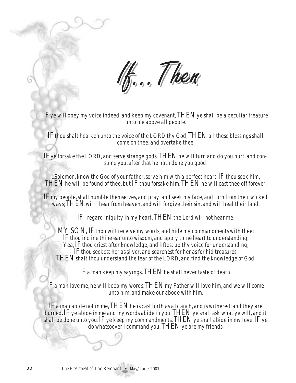If ... Then

IF ye will obey my voice indeed, and keep my covenant, THEN ye shall be a peculiar treasure unto me above all people.

IF thou shalt hearken unto the voice of the LORD thy God, THEN all these blessings shall come on thee, and overtake thee.

IF ye forsake the LORD, and serve strange gods, THEN he will turn and do you hurt, and consume you, after that he hath done you good.

...Solomon, know the God of your father, serve him with a perfect heart.  ${\rm IF}$  thou seek him, THEN he will be found of thee, but IF thou forsake him, THEN he will cast thee off forever.

IF my people, shall humble themselves, and pray, and seek my face, and turn from their wicked ways; THEN will I hear from heaven, and will forgive their sin, and will heal their land.

IF I regard iniquity in my heart, THEN the Lord will not hear me.

MY SON. IF thou wilt receive my words, and hide my commandments with thee; IF thou incline thine ear unto wisdom, and apply thine heart to understanding; Yea, IF thou criest after knowledge, and liftest up thy voice for understanding; IF thou seekest her as silver, and searchest for her as for hid treasures, THEN shalt thou understand the fear of the LORD, and find the knowledge of God.

IF a man keep my sayings, THEN he shall never taste of death.

IF a man love me, he will keep my words: THEN my Father will love him, and we will come unto him, and make our abode with him.

IF a man abide not in me, THEN he is cast forth as a branch, and is withered; and they are burned. IF ye abide in me and my words abide in you, THEN ye shall ask what ye will, and it shall be done unto you. If ye keep my commandments, THEN ye shall abide in my love. If ye do whatsoever I command you, THEN ye are my friends.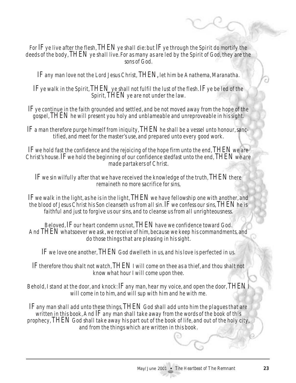For IF ye live after the flesh,  $THEN$  ye shall die: but IF ye through the Spirit do mortify the deeds of the body, THEN ye shall live. For as many as are led by the Spirit of God, they are the sons of God.

IF any man love not the Lord Jesus Christ, THEN, let him be Anathema, Maranatha.

IF ye walk in the Spirit, THEN ye shall not fulfil the lust of the flesh. IF ye be led of the Spirit, THEN ye are not under the law.

IF ye continue in the faith grounded and settled, and be not moved away from the hope of the gospel, THEN he will present you holy and unblameable and unreproveable in his sight.

IF a man therefore purge himself from iniquity, THEN he shall be a vessel unto honour, sanctified, and meet for the master's use, and prepared unto every good work.

IF we hold fast the confidence and the rejoicing of the hope firm unto the end, THEN we are Christ's house. IF we hold the beginning of our confidence stedfast unto the end, THEN we are made partakers of Christ.

IF we sin wilfully after that we have received the knowledge of the truth, THEN there remaineth no more sacrifice for sins,

IF we walk in the light, as he is in the light, THEN we have fellowship one with another, and the blood of Jesus Christ his Son cleanseth us from all sin. IF we confess our sins, THEN he is faithful and just to forgive us our sins, and to cleanse us from all unrighteousness.

Beloved, IF our heart condemn us not, THEN have we confidence toward God. And THEN whatsoever we ask, we receive of him, because we keep his commandments, and do those things that are pleasing in his sight.

IF we love one another, THEN God dwelleth in us, and his love is perfected in us.

IF therefore thou shalt not watch, THEN I will come on thee as a thief, and thou shalt not know what hour I will come upon thee.

Behold, I stand at the door, and knock: IF any man, hear my voice, and open the door, THEN I will come in to him, and will sup with him and he with me.

IF any man shall add unto these things, THEN God shall add unto him the plagues that are written in this book, And  $\bf{F}$  any man shall take away from the words of the book of this prophecy, THEN God shall take away his part out of the book of life, and out of the holy city, and from the things which are written in this book.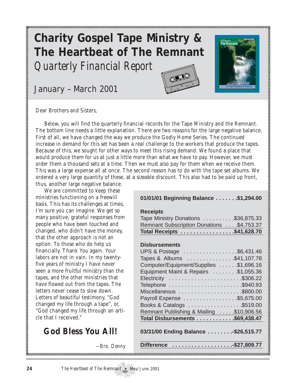# **Charity Gospel Tape Ministry & The Heartbeat of The Remnant** *Quarterly Financial Report*

January – March 2001





Dear Brothers and Sisters,

Below, you will find the quarterly financial records for the Tape Ministry and the Remnant. The bottom line needs a little explanation. There are two reasons for the large negative balance. First of all, we have changed the way we produce the Godly Home Series. The continued increase in demand for this set has been a real challenge to the workers that produce the tapes. Because of this, we sought for other ways to meet this rising demand. We found a place that would produce them for us at just a little more than what we have to pay. However, we must order them a thousand sets at a time. Then we must also pay for them when we receive them. This was a large expense all at once. The second reason has to do with the tape set albums. We ordered a very large quantity of these, at a sizeable discount. This also had to be paid up front, thus, another large negative balance.

We are committed to keep these ministries functioning on a freewill basis. This has its challenges at times, I'm sure you can imagine. We get so many positive, grateful responses from people who have been touched and changed, who didn't have the money, that the other approach is not an option. To those who do help us financially, Thank You again. Your labors are not in vain. In my twentyfive years of ministry I have never seen a more fruitful ministry than the tapes, and the other ministries that have flowed out from the tapes. The letters never cease to slow down. Letters of beautiful testimony, "God changed my life through a tape", or, "God changed my life through an article that I received."

## **God Bless You All!**

*--Bro. Denny*

#### **01/01/01 Beginning Balance . . . . . . .\$1,294.00**

#### **Receipts**

| Tape Ministry Donations \$36,875.33       |  |
|-------------------------------------------|--|
| Remnant Subscription Donations \$4,753.37 |  |
| Total Receipts \$41,628.70                |  |

#### **Disbursements**

| UPS & Postage \$6,431.46                 |  |
|------------------------------------------|--|
| Tapes & Albums \$41,107.78               |  |
| Computer/Equipment/Supplies \$1,696.16   |  |
| Equipment Maint & Repairs \$1,055.36     |  |
|                                          |  |
|                                          |  |
|                                          |  |
| Payroll Expense \$5,675.00               |  |
| Books & Catalogs \$519.00                |  |
| Remnant Publishing & Mailing \$10,906.56 |  |
| Total Disbursements \$69,438.47          |  |
|                                          |  |
| 03/31/00 Ending Balance  \$26,515.77     |  |
|                                          |  |
| Difference \$27,809.77                   |  |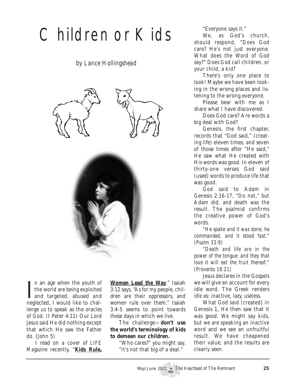# Children or Kids

*by Lance Hollingshead*





I an age when the youth of<br>the world are being exploited<br>and targeted, abused and<br>neglected I would like to shall n an age when the youth of the world are being exploited neglected, I would like to challenge us to speak as the oracles of God. (I Peter 4:11) Our Lord Jesus said He did nothing except that which He saw the Father do. (John 5)

I read on a cover of *LIFE Magazine* recently, "**Kids Rule,**

**Women Lead the Way**." Isaiah 3:12 says, "As for my people, children are their oppressors, and women rule over them." Isaiah 3:4-5 seems to point towards these days in which we live.

The challenge—**don't use the world's terminology of kids to demean our children.**

"Who cares?" you might say. "It's not that big of a deal."

"Everyone says it."

We, as God's church, should respond, "Does God care? He's not just everyone. What does the Word of God say?" Does God call children, or your child, a kid?

There's only one place to look! Maybe we have been looking in the wrong places and listening to the wrong everyone.

Please bear with me as I share what I have discovered.

Does God care? Are words a big deal with God?

Genesis, the first chapter, records that "God said," (creating life) eleven times, and seven of those times after "He said," He saw what He created with His words was good. In eleven of thirty-one verses God said (used) words to produce life that was good.

God said to Adam in Genesis 2:16-17, "Do not," but Adam did, and death was the result. The psalmist confirms the creative power of God's words.

*"He spake and it was done, he commanded, and it stood fast." (Psalm 33:9)*

*"Death and life are in the power of the tongue: and they that love it will eat the fruit thereof." (Proverbs 18:21)*

Jesus declares in the Gospels we will give an account for every idle word. The Greek renders *idle* as: inactive, lazy, useless.

What God said (created) in Genesis 1, He then saw that it was good. We might say kids, but we are speaking an inactive word and we see an unfruitful result. We have cheapened their value, and the results are clearly seen.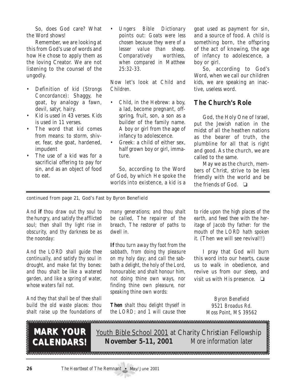So, does God care? What the Word shows!

Remember, we are looking at this from God's use of words and how He chose to apply them as the loving Creator. We are not listening to the counsel of the ungodly.

- Definition of *kid* (*Strongs Concordance*): Shaggy, he goat, by analogy a fawn, devil, satyr, hairy.
- *Kid* is used in 43 verses. *Kids* is used in 11 verses.
- The word that *kid* comes from means: to storm, shiver, fear, she goat, hardened, impudent
- The use of a kid was for a sacrificial offering to pay for sin, and as an object of food to eat.

• *Ungers Bible Dictionary* points out: *Goats were less chosen because they were of a lesser value than sheep. Comparatively worthless, when compared in Matthew 25:32-33.*

Now let's look at *Child* and *Children*.

- *Child*, in the Hebrew: a boy, a lad, become pregnant, offspring, fruit, son, a son as a builder of the family name. A boy or girl from the age of infancy to adolescence.
- Greek: a child of either sex. half grown boy or girl, immature.

So, according to the Word of God, by which He spoke the worlds into existence, a *kid* is a goat used as payment for sin, and a source of food. A *child* is something born, the offspring of the act of knowing, the age of infancy to adolescence, a boy or girl.

So, according to God's Word, when we call our children *kids*, we are speaking an inactive, useless word.

### **The Church's Role**

God, the Holy One of Israel, put the Jewish nation in the midst of all the heathen nations as the bearer of truth, the plumbline for all that is right and good. As the church, we are called to the same.

May we as the church, members of Christ, strive to be less friendly with the world and be the friends of God. ❏

*continued from page 21,* God's Fast *by Byron Benefield*

*And if thou draw out thy soul to the hungry, and satisfy the afflicted soul; then shall thy light rise in obscurity, and thy darkness be as the noonday:*

*And the LORD shall guide thee continually, and satisfy thy soul in drought, and make fat thy bones: and thou shalt be like a watered garden, and like a spring of water, whose waters fail not.*

*And they that shall be of thee shall build the old waste places: thou shalt raise up the foundations of* *many generations; and thou shalt be called, The repairer of the breach, The restorer of paths to dwell in.*

*If thou turn away thy foot from the sabbath, from doing thy pleasure on my holy day; and call the sabbath a delight, the holy of the Lord, honourable; and shalt honour him, not doing thine own ways, nor finding thine own pleasure, nor speaking thine own words:*

*Then shalt thou delight thyself in the LORD; and 1 will cause thee* *to ride upon the high places of the earth, and feed thee with the heritage of Jacob thy father: for the mouth of the LORD hath spoken it.* (Then we will see revival!!)

I pray that God will burn this word into our hearts, cause us to walk in obedience, and revive us from our sleep, and visit us with His presence.  $\Box$ 

> *Byron Benefield 9521 Broadus Rd. Moss Point, MS 39562*

**MARK YOUR CALENDARS! CALENDARS!**

Youth Bible School 2001 at Charity Christian Fellowship **November 5-11, 2001** *More information later*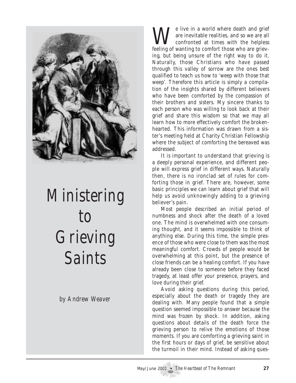

# *Ministering to Grieving Saints*

*by Andrew Weaver*

We live in a world where death and grief<br>are inevitable realities, and so we are all<br>confronted at times with the helpless are inevitable realities, and so we are all confronted at times with the helpless feeling of wanting to comfort those who are grieving, but being unsure of the right way to do it. Naturally, those Christians who have passed through this valley of sorrow are the ones best qualified to teach us how to 'weep with those that weep'. Therefore this article is simply a compilation of the insights shared by different believers who have been comforted by the compassion of their brothers and sisters. My sincere thanks to each person who was willing to look back at their grief and share this wisdom so that we may all learn how to more effectively comfort the brokenhearted. This information was drawn from a sister's meeting held at Charity Christian Fellowship where the subject of comforting the bereaved was addressed.

It is important to understand that grieving is a deeply personal experience, and different people will express grief in different ways. Naturally then, there is no ironclad set of rules for comforting those in grief. There are, however, some basic principles we can learn about grief that will help us avoid unknowingly adding to a grieving believer's pain.

Most people described an initial period of numbness and shock after the death of a loved one. The mind is overwhelmed with one consuming thought, and it seems impossible to think of anything else. During this time, the simple presence of those who were close to them was the most meaningful comfort. Crowds of people would be overwhelming at this point, but the presence of close friends can be a healing comfort. If you have already been close to someone before they faced tragedy, at least offer your presence, prayers, and love during their grief.

Avoid asking questions during this period, especially about the death or tragedy they are dealing with. Many people found that a simple question seemed impossible to answer because the mind was frozen by shock. In addition, asking questions about details of the death force the grieving person to relive the emotions of those moments. If you are comforting a grieving saint in the first hours or days of grief, be sensitive about the turmoil in their mind. Instead of asking ques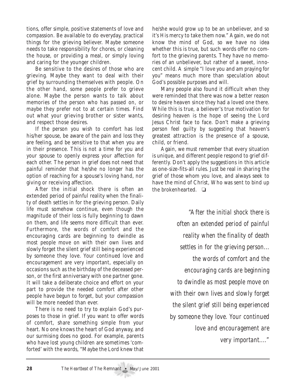tions, offer simple, positive statements of love and compassion. Be available to do everyday, practical things for the grieving believer. Maybe someone needs to take responsibility for chores, or cleaning the house, or providing a meal, or simply loving and caring for the younger children.

Be sensitive to the desires of those who are grieving. Maybe they want to deal with their grief by surrounding themselves with people. On the other hand, some people prefer to grieve alone. Maybe the person wants to talk about memories of the person who has passed on, or maybe they prefer not to at certain times. Find out what your grieving brother or sister wants, and respect those desires.

If the person you wish to comfort has lost his/her spouse, be aware of the pain and loss they are feeling, and be sensitive to that when you are in their presence. This is not a time for you and your spouse to openly express your affection for each other. The person in grief does not need that painful reminder that he/she no longer has the option of reaching for a spouse's loving hand, nor giving or receiving affection.

After the initial shock there is often an extended period of painful reality when the finality of death settles in for the grieving person. Daily life must somehow continue, even though the magnitude of their loss is fully beginning to dawn on them, and life seems more difficult than ever. Furthermore, the words of comfort and the encouraging cards are beginning to dwindle as most people move on with their own lives and slowly forget the silent grief still being experienced by someone they love. Your continued love and encouragement are very important, especially on occasions such as the birthday of the deceased person, or the first anniversary with one partner gone. It will take a deliberate choice and effort on your part to provide the needed comfort after other people have begun to forget, but your compassion will be more needed than ever.

There is no need to try to explain God's purposes to those in grief. If you want to offer words of comfort, share something simple from your heart. No one knows the heart of God anyway, and our surmising does no good. For example, parents who have lost young children are sometimes 'comforted' with the words, "Maybe the Lord knew that he/she would grow up to be an unbeliever, and so it's His mercy to take them now." Again, we do not know the mind of God, so we have no idea whether this is true, but such words offer no comfort to the grieving parents. They have no memories of an unbeliever, but rather of a sweet, innocent child. A simple "I love you and am praying for you" means much more than speculation about God's possible purposes and will.

Many people also found it difficult when they were reminded that there was now a better reason to desire heaven since they had a loved one there. While this is true, a believer's true motivation for desiring heaven is the hope of seeing the Lord Jesus Christ face to face. Don't make a grieving person feel guilty by suggesting that heaven's greatest attraction is the presence of a spouse, child, or friend.

Again, we must remember that every situation is unique, and different people respond to grief differently. Don't apply the suggestions in this article as one-size-fits-all rules. Just be real in sharing the grief of those whom you love, and always seek to have the mind of Christ, Who was sent to bind up the brokenhearted. ❏

> *"After the initial shock there is often an extended period of painful reality when the finality of death settles in for the grieving person... the words of comfort and the encouraging cards are beginning to dwindle as most people move on with their own lives and slowly forget the silent grief still being experienced by someone they love. Your continued love and encouragement are very important...."*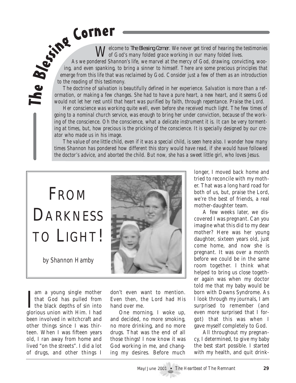*of God's many folded grace working in our many folded lives.*

*Welcome to The Blessing Corner. We never get tired of hearing the testimonies*<br>As we pondered Shannon's life, we marvel at the mercy of God, drawing<br>ing, and even spanking, to bring a sinner to himself. There are error<br>to *As we pondered Shannon's life, we marvel at the mercy of God, drawing, convicting, wooing, and even spanking, to bring a sinner to himself. There are some precious principles that emerge from this life that was reclaimed by God. Consider just a few of them as an introduction to the reading of this testimony.*

*The doctrine of salvation is beautifully defined in her experience. Salvation is more than a reformation, or making a few changes. She had to have a pure heart, a new heart, and it seems God would not let her rest until that heart was purified by faith, through repentance. Praise the Lord.*

*Her conscience was working quite well, even before she received much light. The few times of going to a nominal church service, was enough to bring her under conviction, because of the working of the conscience. Oh the conscience, what a delicate instrument it is. It can be very tormenting at times, but, how precious is the pricking of the conscience. It is specially designed by our creator who made us in his image.*

*The value of one little child, even if it was a special child, is seen here also. I wonder how many times Shannon has pondered how different this story would have read, if she would have followed the doctor's advice, and aborted the child. But now, she has a sweet little girl, who loves Jesus.*

# FROM **DARKNESS** TO LIGHT!

*by Shannon Hamby*

I am a young single mother<br>that God has pulled from<br>the black depths of sin into<br>slarious union with Him I had am a young single mother that God has pulled from glorious union with Him. I had been involved in witchcraft and other things since I was thirteen. When I was fifteen years old, I ran away from home and lived "on the streets". I did a lot of drugs, and other things I

don't even want to mention. Even then, the Lord had His hand over me.

One morning, I woke up, and decided, no more smoking, no more drinking, and no more drugs. That was the end of all those things! I now know it was God working in me, and changing my desires. Before much longer, I moved back home and tried to reconcile with my mother. That was a long hard road for both of us, but, praise the Lord, we're the best of friends, a real mother-daughter team.

A few weeks later, we discovered I was pregnant. Can you imagine what this did to my dear mother? Here was her young daughter, sixteen years old, just come home, and now she is pregnant. It was over a month before we could be in the same room together. I think what helped to bring us close together again was when my doctor told me that my baby would be born with Downs Syndrome. As I look through my journals, I am surprised to remember (and even more surprised that I forgot) that this was when I gave myself completely to God.

All throughout my pregnancy, I determined, to give my baby the best start possible. I started with my health, and quit drink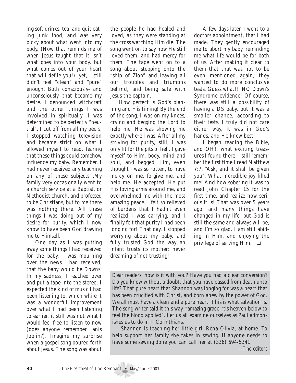ing soft drinks, tea, and quit eating junk food, and was very picky about what went into my body. (Now that reminds me of when Jesus taught that it isn't what goes into your body, but what comes out of your heart that will defile you!), yet, I still didn't feel "clean" and "pure" enough. Both consciously- and unconsciously, that became my desire. I denounced witchcraft and the other things I was involved in spiritually .I was determined to be perfectly "neutral". I cut off from all my peers. I stopped watching television and became strict on what I allowed myself to read, fearing that these things could somehow influence my baby. Remember, I had never received any teaching on any of these subjects .My family very occasionally went to a church service at a Baptist, or Methodist church, and professed to be Christians, but to me there was nothing there. All these things I was doing out of my desire for purity, which I now know to have been God drawing me to Himself.

One day as I was putting away some things I had received for the baby, I was mourning over the news I had received, that the baby would be Downs. In my sadness, I reached over and put a tape into the stereo. I expected the kind of music I had been listening to, which while it was a wonderful improvement over what I had been listening to earlier, it still was not what I would feel free to listen to now (does anyone remember Janis Joplin?). Imagine my surprise when a gospel song poured forth about Jesus. The song was about

the people he had healed and loved, as they were standing at the cross watching Him die. The song went on to say how He still loved them, and had mercy for them. The tape went on to a song about stepping onto the "ship of Zion" and leaving all our troubles and triumphs behind, and being safe with Jesus the captain.

How perfect is God's planning and His timing! By the end of the song, I was on my knees, crying and begging the Lord to help me. He was showing me exactly where I was. After all my striving for purity, still, I was only fit for the pits of hell. I gave myself to Him, body, mind and soul, and begged Him, even thought I was so rotten, to have mercy on me, forgive me, and help me. He accepted. He put His loving arms around me, and overwhelmed me with the most amazing peace. I felt so relieved of burdens that I hadn't even realized I was carrying, and I finally felt that purity I had been longing for! That day, I stopped worrying about my baby, and fully trusted God the way an infant trusts its mother: never dreaming of not trusting!

A few days later, I went to a doctors appointment, that I had made. They gently encouraged me to abort my baby, reminding me what life would be for both of us. After making it clear to them that that was not to be even mentioned again, they wanted to do more conclusive tests. Guess what!!! NO Down's Syndrome evidence! Of course, there was still a possibility of having a DS baby, but it was a smaller chance, according to their tests. I truly did not care either way, it was in God's hands, and He knew best!

I began reading the Bible, and OH!, what exciting treasures I found there! I still remember the first time I read Matthew 7:7, "Ask, and it shall be given you". What incredible joy filled me! And how sobering it was to read John Chapter 15 for the first time, and realize how serious it is! That was over 5 years ago, and many things have changed in my life, but God is still the same and always will be, and I'm so glad. I am still abiding in Him, and enjoying the privilege of serving Him.  $\Box$ 

Dear readers, how is it with you? Have you had a clear conversion? Do you know without a doubt, that you have passed from death unto life? That pure heart that Shannon was longing for was a heart that has been crucified with Christ, and born anew by the power of God. We all must have a clean and a pure heart. This is what salvation is. The song writer said it this way, "amazing grace, 'tis heaven below to feel the blood applied". Let us all examine ourselves as Paul admonishes us to do in II Corinthians.

Shannon is teaching her little girl, Rena Olivia, at home. To help support her family she takes in sewing. If anyone needs to have some sewing done you can call her at (336) 694-5341.

--*The editors*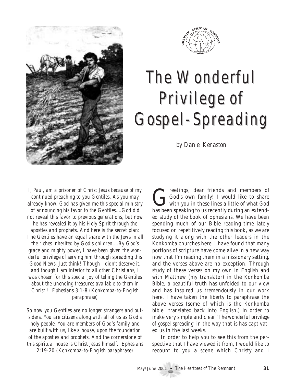



# The Wonderful Privilege of Privilege of Gospel-Spreading Gospel-Spreading

*by Daniel Kenaston*

*I, Paul, am a prisoner of Christ Jesus because of my continued preaching to you Gentiles. As you may already know, God has given me this special ministry of announcing his favor to the Gentiles....God did not reveal this favor to previous generations, but now he has revealed it by his Holy Spirit through the apostles and prophets. And here is the secret plan: The Gentiles have an equal share with the Jews in all the riches inherited by God's children....By God's grace and mighty power, I have been given the wonderful privilege of serving him through spreading this Good News. Just think! Though I didn't deserve it, and though I am inferior to all other Christians, I was chosen for this special joy of telling the Gentiles about the unending treasures available to them in Christ!! Ephesians 3:1-8 (Konkomba-to-English paraphrase)*

*So now you Gentiles are no longer strangers and outsiders. You are citizens along with all of us as God's holy people. You are members of God's family and are built with us, like a house, upon the foundation of the apostles and prophets. And the cornerstone of this spiritual house is Christ Jesus himself. Ephesians 2:19-20 (Konkomba-to-English paraphrase)*

God's own family! I would like to share<br>with you in these lines a little of what God<br>has been speaking to us recently during an autord God's own family! I would like to share with you in these lines a little of what God has been speaking to us recently during an extended study of the book of Ephesians. We have been spending much of our Bible reading time lately focused on repetitively reading this book, as we are studying it along with the other leaders in the Konkomba churches here. I have found that many portions of scripture have come alive in a new way now that I'm reading them in a missionary setting, and the verses above are no exception. Through study of these verses on my own in English and with Matthew (my translator) in the Konkomba Bible, a beautiful truth has unfolded to our view and has inspired us tremendously in our work here. I have taken the liberty to paraphrase the above verses (some of which is the Konkomba bible translated back into English,) in order to make very simple and clear *'The wonderful privilege of gospel-spreading'* in the way that is has captivated us in the last weeks.

In order to help you to see this from the perspective that I have viewed it from, I would like to recount to you a scene which Christy and I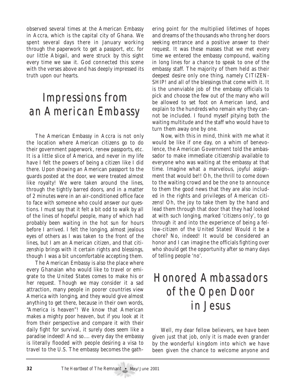observed several times at the American Embassy in Accra, which is the capital city of Ghana. We spent several days there in January working through the paperwork to get a passport, etc. for our little Abigail, and were struck by this sight every time we saw it. God connected this scene with the verses above and has deeply impressed its truth upon our hearts.

# Impressions from an American Embassy

The American Embassy in Accra is not only the location where American citizens go to do their government paperwork, renew passports, etc. It is a little slice of America, and never in my life have I felt the powers of being a citizen like I did there. Upon showing an American passport to the guards posted at the door, we were treated almost like royalty! We were taken around the lines, through the tightly barred doors, and in a matter of 2 minutes were in an air-conditioned office face to face with someone who could answer our questions. I must say that it felt a bit odd to walk by all of the lines of hopeful people, many of which had probably been waiting in the hot sun for hours before I arrived. I felt the longing, almost jealous eyes of others as I was taken to the front of the lines, but I am an American citizen, and that citizenship brings with it certain rights and blessings, though I was a bit uncomfortable accepting them.

The American Embassy is also the place where every Ghanaian who would like to travel or emigrate to the United States comes to make his or her request. Though we may consider it a sad attraction, many people in poorer countries view America with longing, and they would give almost anything to get there, because in their own words, "America is heaven"! We know that American makes a mighty poor heaven, but if you look at it from their perspective and compare it with their daily fight for survival, it surely does seem like a paradise indeed! And so.... every day the embassy is literally flooded with people desiring a visa to travel to the U.S. The embassy becomes the gathering point for the multiplied lifetimes of hopes and dreams of the thousands who throng her doors seeking entrance and a positive answer to their request. It was these masses that we met every time we entered the embassy compound, waiting in long lines for a chance to speak to one of the embassy staff. The majority of them held as their deepest desire only one thing, namely CITIZEN-SHIP! and all of the blessings that come with it. It is the unenviable job of the embassy officials to pick and choose the few out of the many who will be allowed to set foot on American land, and explain to the hundreds who remain why they cannot be included. I found myself pitying both the waiting multitude and the staff who would have to turn them away one by one.

Now, with this in mind, think with me what it would be like if one day, on a whim of benevolence, the American Government told the ambassador to make immediate citizenship available to everyone who was waiting at the embassy at that time. Imagine what a marvelous, joyful assignment that would be!! Oh, the thrill to come down to the waiting crowd and be the one to announce to them the good news that they are also included in the rights and privileges of American citizens! Oh, the joy to take them by the hand and lead them through that door that they had looked at with such longing, marked 'citizens only', to go through it and into the experience of being a fellow-citizen of the United States! Would it be a chore? No, indeed! It would be considered an honor and I can imagine the officials fighting over who should get the opportunity after so many days of telling people 'no'.

# Honored Ambassadors Honored Ambassadors of the Open Door in Jesus in Jesus

Well, my dear fellow believers, we have been given just that job, only it is made even grander by the wonderful kingdom into which we have been given the chance to welcome anyone and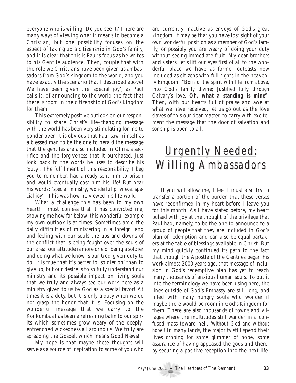everyone who is willing! Do you see it? There are many ways of viewing what it means to become a Christian, but one possibility focuses on the aspect of taking up a citizenship in God's family, and it is clear that this is Paul's focus as he writes to his Gentile audience. Then, couple that with the role we Christians have been given as ambassadors from God's kingdom to the world, and you have exactly the scenario that I described above! We have been given the 'special joy', as Paul calls it, of announcing to the world the fact that there is room in the citizenship of God's kingdom for them!

This extremely positive outlook on our responsibility to share Christ's life-changing message with the world has been very stimulating for me to ponder over. It is obvious that Paul saw himself as a blessed man to be the one to herald the message that the gentiles are also included in Christ's sacrifice and the forgiveness that it purchased. Just look back to the words he uses to describe his 'duty'. The fulfillment of this responsibility, I beg you to remember, had already sent him to prison and would eventually cost him his life! But hear his words: *'special ministry, wonderful privilege, special joy'*. This was how he viewed his life work.

What a challenge this has been to my own heart! I must confess that it has convicted me, showing me how far below this wonderful example my own outlook is at times. Sometimes amid the daily difficulties of ministering in a foreign land and feeling with our souls the ups and downs of the conflict that is being fought over the souls of our area, our attitude is more one of being a soldier and doing what we know is our God-given duty to do. It is true that it's better to 'soldier on' than to give up, but our desire is to so fully understand our ministry and its possible impact on living souls that we truly and always see our work here as a ministry given to us by God as a special favor! At times it is a duty, but it is only a duty when we do not grasp the honor that it is! Focusing on the wonderful message that we carry to the Konkombas has been a refreshing balm to our spirits which sometimes grow weary of the deeplyentrenched wickedness all around us. We truly are spreading the Gospel, which means Good News!

My hope is that maybe these thoughts will serve as a source of inspiration to some of you who are currently inactive as envoys of God's great kingdom. It may be that you have lost sight of your own wonderful position as a member of God's family, or possibly you are weary of doing your duty without seeing immediate fruit. My dear brothers and sisters, let's lift our eyes first of all to the wonderful place we have as former outcasts now included as citizens with full rights in the heavenly kingdom! *"Born of the spirit with life from above, into God's family divine; Justified fully through Calvary's love, Oh, what a standing is mine"!* Then, with our hearts full of praise and awe at what we have received, let us go out as the love slaves of this our dear master, to carry with excitement the message that the door of salvation and sonship is open to all.

# **Urgently Needed: Willing Ambassadors**

If you will allow me, I feel I must also try to transfer a portion of the burden that these verses have reconfirmed in my heart before I leave you for this month. As I have stated before, my heart pulsed with joy at the thought of the privilege that Paul had, namely, to be the one to announce to a group of people that they are included in God's plan of redemption and can also be equal partakers at the table of blessings available in Christ. But my mind quickly continued its path to the fact that though the Apostle of the Gentiles began his work almost 2000 years ago, that message of inclusion in God's redemptive plan has yet to reach many thousands of anxious human souls. To put it into the terminology we have been using here, the lines outside of God's Embassy are still long, and filled with many hungry souls who wonder if maybe there would be room in God's Kingdom for them. There are also thousands of towns and villages where the multitudes still wander in a confused mass toward hell, '*without God and without hope'!* In many lands, the majority still spend their lives groping for some glimmer of hope, some assurance of having appeased the gods and thereby securing a positive reception into the next life.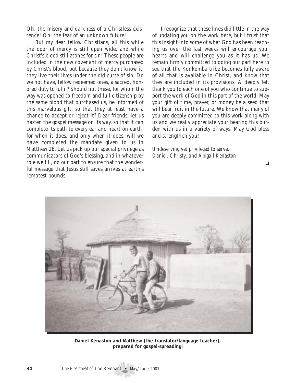Oh, the misery and darkness of a Christless existence! Oh, the fear of an unknown future!

But my dear fellow Christians, all this while the door of mercy is still open wide, and while Christ's blood still atones for sin! These people are included in the new covenant of mercy purchased by Christ's blood, but because they don't know it, they live their lives under the old curse of sin. Do we not have, fellow redeemed ones, a sacred, honored duty to fulfil? Should not these, for whom the way was opened to freedom and full citizenship by the same blood that purchased us, be informed of this marvelous gift, so that they at least have a chance to accept or reject it? Dear friends, let us hasten the gospel message on its way, so that it can complete its path to every ear and heart on earth, for when it does, and only when it does, will we have completed the mandate given to us in Matthew 28. Let us pick up our special privilege as communicators of God's blessing, and in whatever role we fill, do our part to ensure that the wonderful message that Jesus still saves arrives at earth's remotest bounds.

I recognize that these lines did little in the way of updating you on the work here, but I trust that this insight into some of what God has been teaching us over the last weeks will encourage your hearts and will challenge you as it has us. We remain firmly committed to doing our part here to see that the Konkomba tribe becomes fully aware of all that is available in Christ, and know that they are included in its provisions. A deeply felt thank you to each one of you who continue to support the work of God in this part of the world. May your gift of time, prayer, or money be a seed that will bear fruit in the future. We know that many of you are deeply committed to this work along with us and we really appreciate your bearing this burden with us in a variety of ways. May God bless and strengthen you!

*Undeserving yet privileged to serve, Daniel, Christy, and Abigail Kenaston*

 $\Box$ 



**Daniel Kenaston and Matthew (the translator/language teacher), prepared for gospel-spreading!**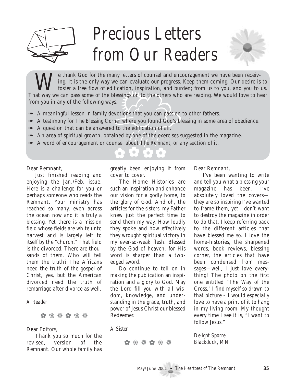

# *Precious Letters from Our Readers*



ification, inspiration, and bure<br>plessings on to the others who<br>ys.<br>evotions that you can pass on<br>*ner* where you found God's ble<br>d to the edification of all.<br>iined by one of the exercises sunsel about *The Remnant*, or al Te thank God for the many letters of counsel and encouragement we have been receiving. It is the only way we can evaluate our progress. Keep them coming. Our desire is to foster a free flow of edification, inspiration, and burden; from us to you, and you to us. That way we can pass some of the blessings on to the others who are reading. We would love to hear from you in any of the following ways.

- ➠ A meaningful lesson in family devotions that you can pass on to other fathers.
- **EXECUTE:** A testimony for *The Blessing Corner* where you found God's blessing in some area of obedience.
- ➠ A question that can be answered to the edification of all.
- ➠ An area of spiritual growth, obtained by one of the exercises suggested in the magazine.
- ➠ A word of encouragement or counsel about *The Remnant*, or any section of it.

Dear Remnant,

Just finished reading and enjoying the Jan./Feb. issue. Here is a challenge for you or perhaps someone who reads the Remnant. Your ministry has reached so many, even across the ocean now and it is truly a blessing. Yet there is a mission field whose fields are white unto harvest and is largely left to itself by the "church." That field is the divorced. There are thousands of them. Who will tell them the truth? The Africans need the truth of the gospel of Christ, yes, but the American divorced need the truth of remarriage after divorce as well.

#### *A Reader*

✿ ❀ ❁ ✿ ❀ ❁

#### Dear Editors,

Thank you so much for the revised, version of the Remnant. Our whole family has greatly been enjoying it from cover to cover.

The Home Histories are such an inspiration and enhance our vision for a godly home, to the glory of God. And oh, the articles for the sisters, my Father knew just the perfect time to send them my way. How loudly they spoke and how effectively they wrought spiritual victory in my ever-so-weak flesh. Blessed by the God of heaven, for His word is sharper than a twoedged sword.

Do continue to toil on in making the publication an inspiration and a glory to God. May the Lord fill you with all wisdom, knowledge, and understanding in the grace, truth, and power of Jesus Christ our blessed Redeemer.

*A Sister*

✿ ❀ ❁ ✿ ❀ ❁

Dear Remnant,

I've been wanting to write and tell you what a blessing your magazine has been, I've absolutely loved the covers they are so inspiring I've wanted to frame them, yet I don't want to destroy the magazine in order to do that. I keep referring back to the different articles that have blessed me so. I love the home-histories, the sharpened words, book reviews, blessing corner, the articles that have been condensed from messages—well, I just love everything! The photo on the first one entitled "The Way of the Cross," I find myself so drawn to that picture – I would especially love to have a print of it to hang in my living room. My thought every time I see it is, "I want to follow Jesus."

*Delight Sporre Blackduck, MN*